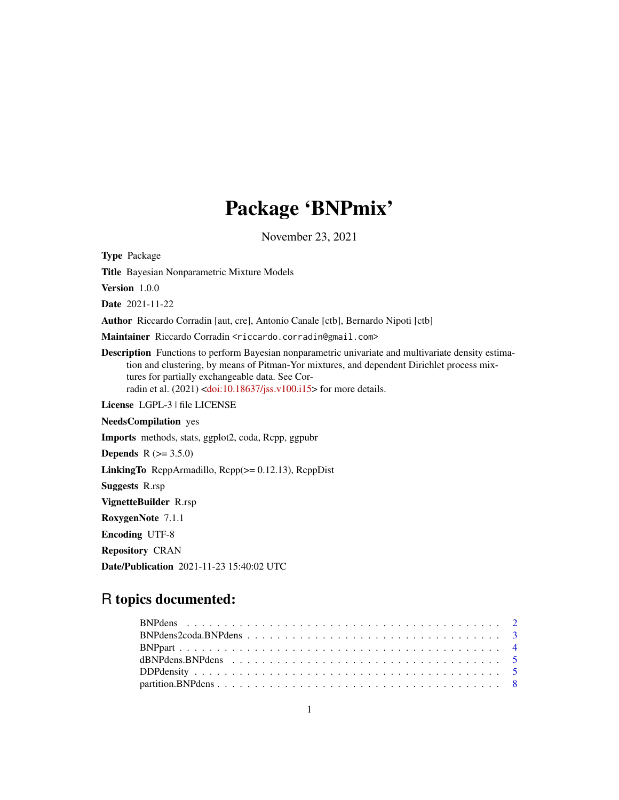# Package 'BNPmix'

November 23, 2021

Type Package

Title Bayesian Nonparametric Mixture Models

Version 1.0.0

Date 2021-11-22

Author Riccardo Corradin [aut, cre], Antonio Canale [ctb], Bernardo Nipoti [ctb]

Maintainer Riccardo Corradin <riccardo.corradin@gmail.com>

Description Functions to perform Bayesian nonparametric univariate and multivariate density estimation and clustering, by means of Pitman-Yor mixtures, and dependent Dirichlet process mixtures for partially exchangeable data. See Corradin et al. (2021) [<doi:10.18637/jss.v100.i15>](https://doi.org/10.18637/jss.v100.i15) for more details.

License LGPL-3 | file LICENSE

NeedsCompilation yes

Imports methods, stats, ggplot2, coda, Rcpp, ggpubr

**Depends** R  $(>= 3.5.0)$ 

LinkingTo RcppArmadillo, Rcpp(>= 0.12.13), RcppDist

Suggests R.rsp

VignetteBuilder R.rsp

RoxygenNote 7.1.1

Encoding UTF-8

Repository CRAN

Date/Publication 2021-11-23 15:40:02 UTC

## R topics documented: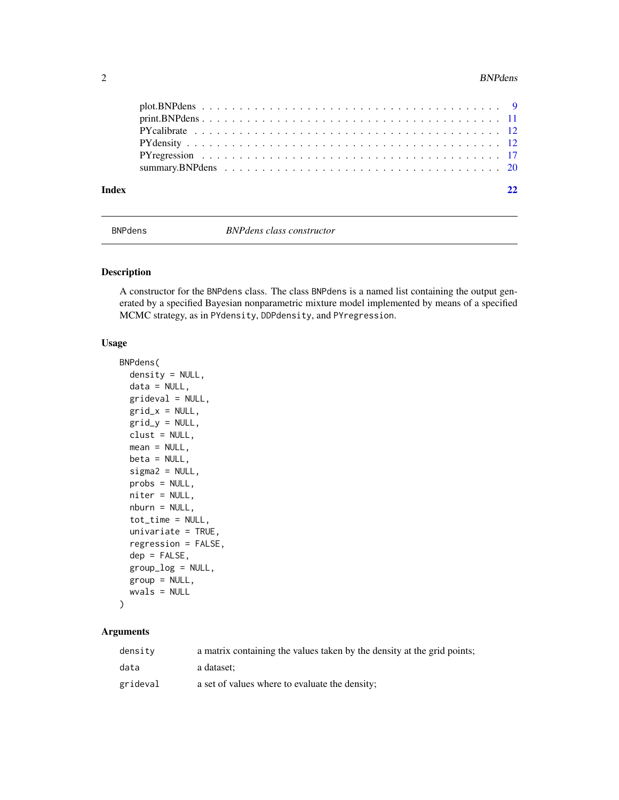<span id="page-1-0"></span>

| Index | 22 |
|-------|----|
|       |    |
|       |    |
|       |    |
|       |    |
|       |    |
|       |    |

BNPdens *BNPdens class constructor*

#### Description

A constructor for the BNPdens class. The class BNPdens is a named list containing the output generated by a specified Bayesian nonparametric mixture model implemented by means of a specified MCMC strategy, as in PYdensity, DDPdensity, and PYregression.

#### Usage

```
BNPdens(
  density = NULL,
 data = NULL,grideval = NULL,
 grid_x = NULL,grid_y = NULL,clust = NULL,
 mean = NULL,beta = NULL,signa2 = NULL,probs = NULL,
 niter = NULL,
 nburn = NULL,
  tot_time = NULL,
  univariate = TRUE,
  regression = FALSE,
  dep = FALSE,group_log = NULL,
 group = NULL,wvals = NULL
)
```

| density  | a matrix containing the values taken by the density at the grid points; |
|----------|-------------------------------------------------------------------------|
| data     | a dataset:                                                              |
| grideval | a set of values where to evaluate the density;                          |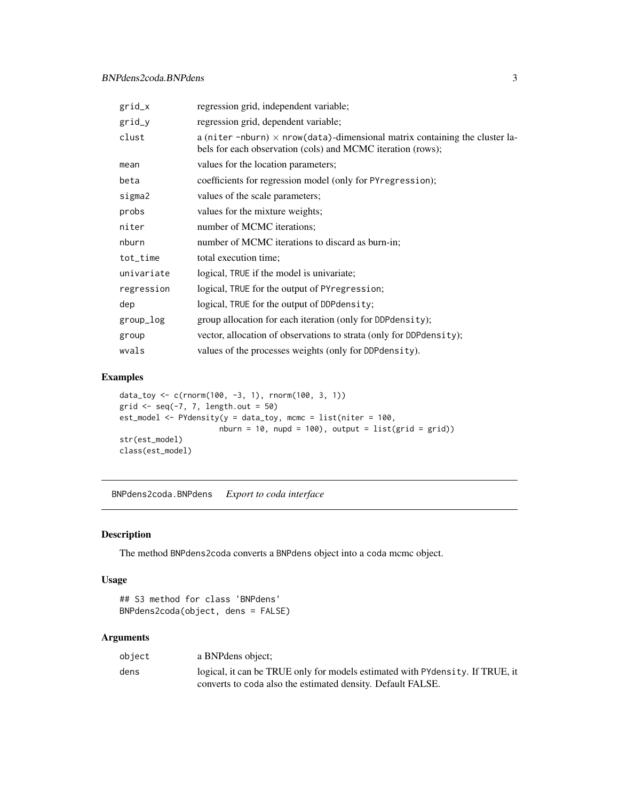<span id="page-2-0"></span>

| regression grid, independent variable;                                                                                                            |  |
|---------------------------------------------------------------------------------------------------------------------------------------------------|--|
| regression grid, dependent variable;                                                                                                              |  |
| a (niter -nburn) $\times$ nrow(data)-dimensional matrix containing the cluster la-<br>bels for each observation (cols) and MCMC iteration (rows); |  |
| values for the location parameters;                                                                                                               |  |
| coefficients for regression model (only for PY regression);                                                                                       |  |
| values of the scale parameters;                                                                                                                   |  |
| values for the mixture weights;                                                                                                                   |  |
| number of MCMC iterations;                                                                                                                        |  |
| number of MCMC iterations to discard as burn-in;                                                                                                  |  |
| total execution time;                                                                                                                             |  |
| logical, TRUE if the model is univariate;                                                                                                         |  |
| logical, TRUE for the output of PYregression;                                                                                                     |  |
| logical, TRUE for the output of DDPdensity;                                                                                                       |  |
| group allocation for each iteration (only for DDP density);                                                                                       |  |
| vector, allocation of observations to strata (only for DDP density);                                                                              |  |
| values of the processes weights (only for DDPdensity).                                                                                            |  |
|                                                                                                                                                   |  |

#### Examples

```
data_toy <- c(rnorm(100, -3, 1), rnorm(100, 3, 1))
grid \leq seq(-7, 7, length.out = 50)est_model <- PYdensity(y = data_toy, mcmc = list(niter = 100,
                     nburn = 10, nupd = 100), output = list(grid = grid)str(est_model)
class(est_model)
```
BNPdens2coda.BNPdens *Export to coda interface*

#### Description

The method BNPdens2coda converts a BNPdens object into a coda mcmc object.

#### Usage

```
## S3 method for class 'BNPdens'
BNPdens2coda(object, dens = FALSE)
```

| object | a BNP dens object;                                                            |
|--------|-------------------------------------------------------------------------------|
| dens   | logical, it can be TRUE only for models estimated with PYdensity. If TRUE, it |
|        | converts to coda also the estimated density. Default FALSE.                   |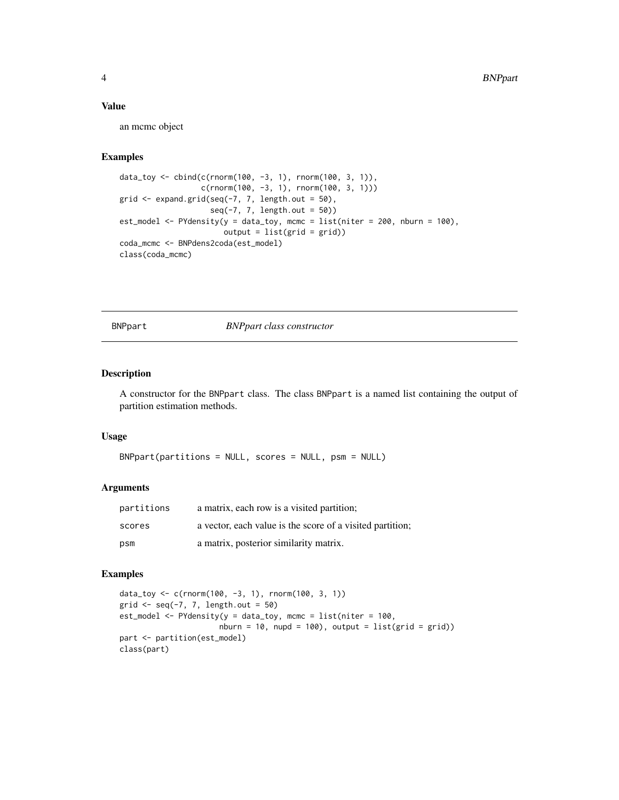#### <span id="page-3-0"></span>Value

an mcmc object

#### Examples

```
data_toy <- cbind(c(rnorm(100, -3, 1), rnorm(100, 3, 1)),
                  c(rnorm(100, -3, 1), rnorm(100, 3, 1)))
grid \leq expand.grid(seq(-7, 7, length.out = 50),
                    seq(-7, 7, length.out = 50))
est_model <- PYdensity(y = data_toy, mcmc = list(niter = 200, nburn = 100),
                       output = list(grid = grid)coda_mcmc <- BNPdens2coda(est_model)
class(coda_mcmc)
```
BNPpart *BNPpart class constructor*

#### Description

A constructor for the BNPpart class. The class BNPpart is a named list containing the output of partition estimation methods.

#### Usage

BNPpart(partitions = NULL, scores = NULL, psm = NULL)

#### Arguments

| partitions | a matrix, each row is a visited partition;                |
|------------|-----------------------------------------------------------|
| scores     | a vector, each value is the score of a visited partition; |
| psm        | a matrix, posterior similarity matrix.                    |

```
data_toy <- c(rnorm(100, -3, 1), rnorm(100, 3, 1))
grid \leq seq(-7, 7, length.out = 50)est_model <- PYdensity(y = data_toy, mcmc = list(niter = 100,
                     nburn = 10, nupd = 100, output = list(grid = grid)part <- partition(est_model)
class(part)
```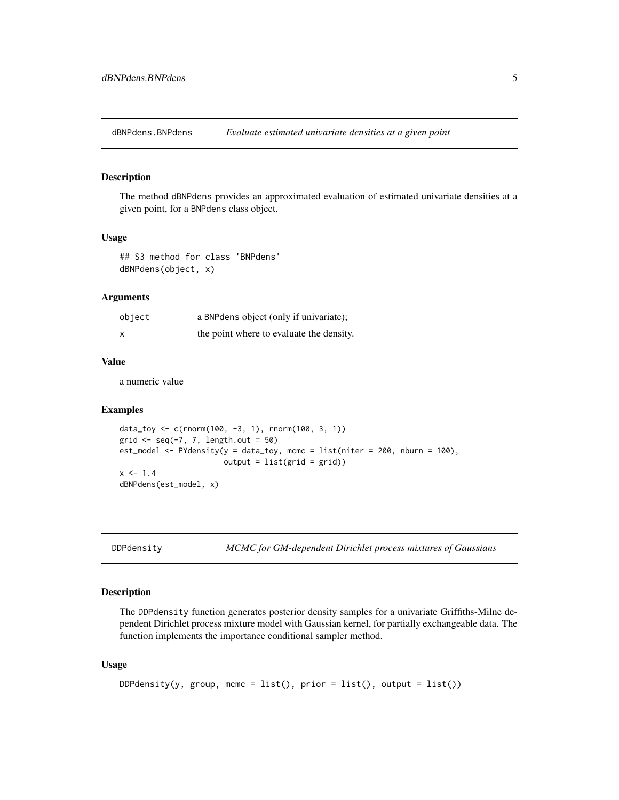<span id="page-4-0"></span>dBNPdens.BNPdens *Evaluate estimated univariate densities at a given point*

#### Description

The method dBNPdens provides an approximated evaluation of estimated univariate densities at a given point, for a BNPdens class object.

#### Usage

```
## S3 method for class 'BNPdens'
dBNPdens(object, x)
```
#### Arguments

| object | a BNP dens object (only if univariate);  |
|--------|------------------------------------------|
|        | the point where to evaluate the density. |

#### Value

a numeric value

#### Examples

```
data_toy <- c(rnorm(100, -3, 1), rnorm(100, 3, 1))
grid \leq seq(-7, 7, length.out = 50)est_model <- PYdensity(y = data_toy, mcmc = list(niter = 200, nburn = 100),
                       output = list(grid = grid))
x \le -1.4dBNPdens(est_model, x)
```
DDPdensity *MCMC for GM-dependent Dirichlet process mixtures of Gaussians*

#### Description

The DDPdensity function generates posterior density samples for a univariate Griffiths-Milne dependent Dirichlet process mixture model with Gaussian kernel, for partially exchangeable data. The function implements the importance conditional sampler method.

#### Usage

```
DDPdensity(y, group, mcmc = list(), prior = list(), output = list())
```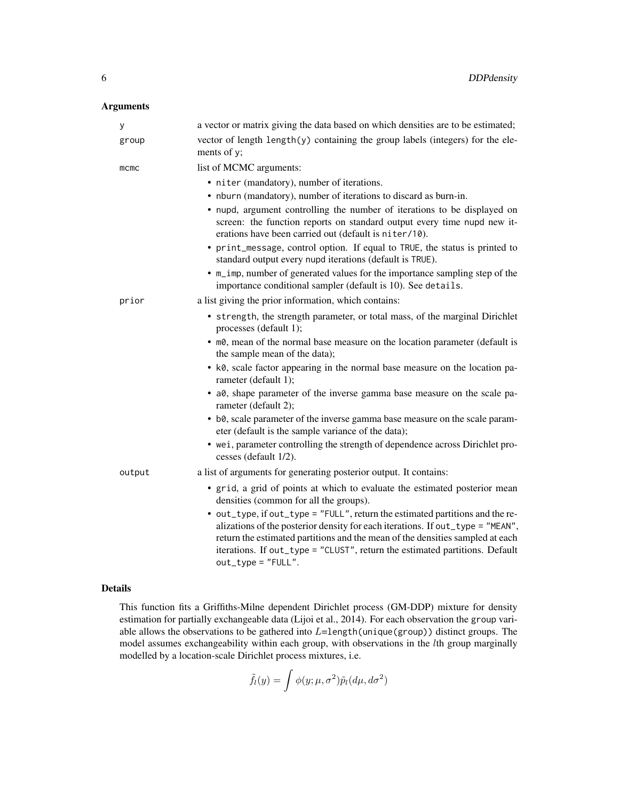#### Arguments

| У      | a vector or matrix giving the data based on which densities are to be estimated;                                                                                                                                                                                                                                                                        |
|--------|---------------------------------------------------------------------------------------------------------------------------------------------------------------------------------------------------------------------------------------------------------------------------------------------------------------------------------------------------------|
| group  | vector of length length(y) containing the group labels (integers) for the ele-<br>ments of y;                                                                                                                                                                                                                                                           |
| mcmc   | list of MCMC arguments:                                                                                                                                                                                                                                                                                                                                 |
|        | • niter (mandatory), number of iterations.                                                                                                                                                                                                                                                                                                              |
|        | • nburn (mandatory), number of iterations to discard as burn-in.                                                                                                                                                                                                                                                                                        |
|        | • nupd, argument controlling the number of iterations to be displayed on<br>screen: the function reports on standard output every time nupd new it-<br>erations have been carried out (default is niter/10).                                                                                                                                            |
|        | • print_message, control option. If equal to TRUE, the status is printed to<br>standard output every nupd iterations (default is TRUE).                                                                                                                                                                                                                 |
|        | • m_imp, number of generated values for the importance sampling step of the<br>importance conditional sampler (default is 10). See details.                                                                                                                                                                                                             |
| prior  | a list giving the prior information, which contains:                                                                                                                                                                                                                                                                                                    |
|        | • strength, the strength parameter, or total mass, of the marginal Dirichlet<br>processes (default 1);                                                                                                                                                                                                                                                  |
|        | • m0, mean of the normal base measure on the location parameter (default is<br>the sample mean of the data);                                                                                                                                                                                                                                            |
|        | • k0, scale factor appearing in the normal base measure on the location pa-<br>rameter (default 1);                                                                                                                                                                                                                                                     |
|        | • a0, shape parameter of the inverse gamma base measure on the scale pa-<br>rameter (default 2);                                                                                                                                                                                                                                                        |
|        | • b0, scale parameter of the inverse gamma base measure on the scale param-<br>eter (default is the sample variance of the data);                                                                                                                                                                                                                       |
|        | • wei, parameter controlling the strength of dependence across Dirichlet pro-<br>cesses (default 1/2).                                                                                                                                                                                                                                                  |
| output | a list of arguments for generating posterior output. It contains:                                                                                                                                                                                                                                                                                       |
|        | • grid, a grid of points at which to evaluate the estimated posterior mean<br>densities (common for all the groups).                                                                                                                                                                                                                                    |
|        | • out_type, if out_type = "FULL", return the estimated partitions and the re-<br>alizations of the posterior density for each iterations. If out_type = "MEAN",<br>return the estimated partitions and the mean of the densities sampled at each<br>iterations. If out_type = "CLUST", return the estimated partitions. Default<br>$out_type = "FULL".$ |

#### Details

This function fits a Griffiths-Milne dependent Dirichlet process (GM-DDP) mixture for density estimation for partially exchangeable data (Lijoi et al., 2014). For each observation the group variable allows the observations to be gathered into  $L=$  length(unique(group)) distinct groups. The model assumes exchangeability within each group, with observations in the lth group marginally modelled by a location-scale Dirichlet process mixtures, i.e.

$$
\tilde{f}_l(y) = \int \phi(y; \mu, \sigma^2) \tilde{p}_l(d\mu, d\sigma^2)
$$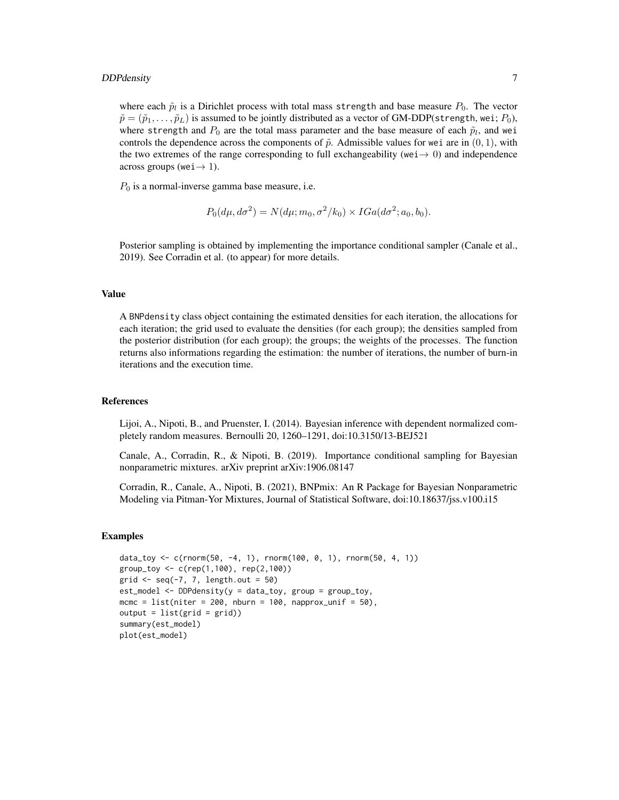#### DDPdensity 7

where each  $\tilde{p}_l$  is a Dirichlet process with total mass strength and base measure  $P_0$ . The vector  $\tilde{p} = (\tilde{p}_1, \ldots, \tilde{p}_L)$  is assumed to be jointly distributed as a vector of GM-DDP(strength, wei;  $P_0$ ), where strength and  $P_0$  are the total mass parameter and the base measure of each  $\tilde{p}_l$ , and wei controls the dependence across the components of  $\tilde{p}$ . Admissible values for wei are in  $(0, 1)$ , with the two extremes of the range corresponding to full exchangeability (wei $\rightarrow$  0) and independence across groups (we i  $\rightarrow$  1).

 $P_0$  is a normal-inverse gamma base measure, i.e.

$$
P_0(d\mu, d\sigma^2) = N(d\mu; m_0, \sigma^2/k_0) \times IGa(d\sigma^2; a_0, b_0).
$$

Posterior sampling is obtained by implementing the importance conditional sampler (Canale et al., 2019). See Corradin et al. (to appear) for more details.

#### Value

A BNPdensity class object containing the estimated densities for each iteration, the allocations for each iteration; the grid used to evaluate the densities (for each group); the densities sampled from the posterior distribution (for each group); the groups; the weights of the processes. The function returns also informations regarding the estimation: the number of iterations, the number of burn-in iterations and the execution time.

#### References

Lijoi, A., Nipoti, B., and Pruenster, I. (2014). Bayesian inference with dependent normalized completely random measures. Bernoulli 20, 1260–1291, doi:10.3150/13-BEJ521

Canale, A., Corradin, R., & Nipoti, B. (2019). Importance conditional sampling for Bayesian nonparametric mixtures. arXiv preprint arXiv:1906.08147

Corradin, R., Canale, A., Nipoti, B. (2021), BNPmix: An R Package for Bayesian Nonparametric Modeling via Pitman-Yor Mixtures, Journal of Statistical Software, doi:10.18637/jss.v100.i15

```
data_toy <- c(rnorm(50, -4, 1), rnorm(100, 0, 1), rnorm(50, 4, 1))
group_toy <- c(rep(1,100), rep(2,100))
grid \leq seq(-7, 7, length.out = 50)
est_model <- DDPdensity(y = data_toy, group = group_toy,
mcmc = list(niter = 200, nburn = 100, napprox_unif = 50),
output = list(grid = grid)summary(est_model)
plot(est_model)
```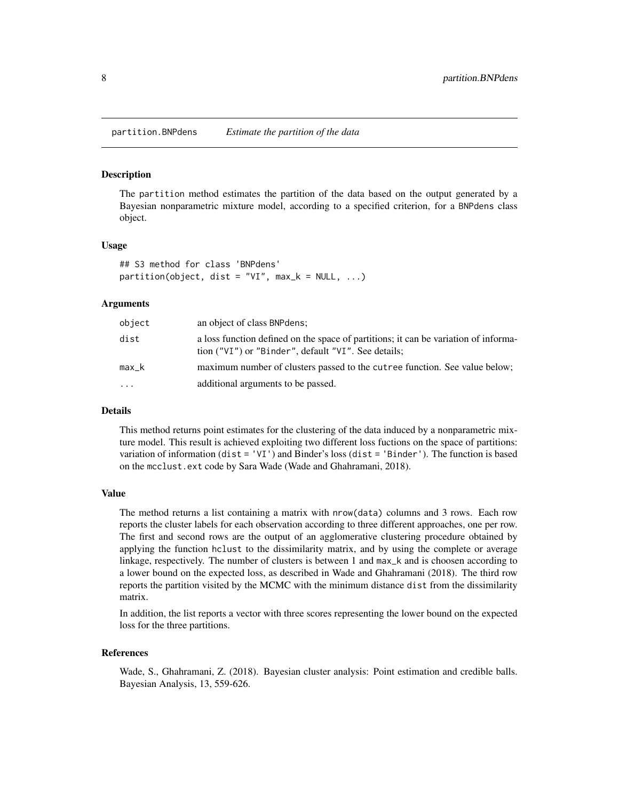<span id="page-7-0"></span>partition.BNPdens *Estimate the partition of the data*

#### Description

The partition method estimates the partition of the data based on the output generated by a Bayesian nonparametric mixture model, according to a specified criterion, for a BNPdens class object.

#### Usage

```
## S3 method for class 'BNPdens'
partition(object, dist = "VI", max_k = NULL, ...)
```
#### Arguments

| object | an object of class BNP dens;                                                                                                               |
|--------|--------------------------------------------------------------------------------------------------------------------------------------------|
| dist   | a loss function defined on the space of partitions; it can be variation of informa-<br>tion ("VI") or "Binder", default "VI". See details; |
| max_k  | maximum number of clusters passed to the cutree function. See value below;                                                                 |
| .      | additional arguments to be passed.                                                                                                         |

#### Details

This method returns point estimates for the clustering of the data induced by a nonparametric mixture model. This result is achieved exploiting two different loss fuctions on the space of partitions: variation of information (dist = 'VI') and Binder's loss (dist = 'Binder'). The function is based on the mcclust.ext code by Sara Wade (Wade and Ghahramani, 2018).

#### Value

The method returns a list containing a matrix with nrow(data) columns and 3 rows. Each row reports the cluster labels for each observation according to three different approaches, one per row. The first and second rows are the output of an agglomerative clustering procedure obtained by applying the function hclust to the dissimilarity matrix, and by using the complete or average linkage, respectively. The number of clusters is between 1 and max\_k and is choosen according to a lower bound on the expected loss, as described in Wade and Ghahramani (2018). The third row reports the partition visited by the MCMC with the minimum distance dist from the dissimilarity matrix.

In addition, the list reports a vector with three scores representing the lower bound on the expected loss for the three partitions.

#### References

Wade, S., Ghahramani, Z. (2018). Bayesian cluster analysis: Point estimation and credible balls. Bayesian Analysis, 13, 559-626.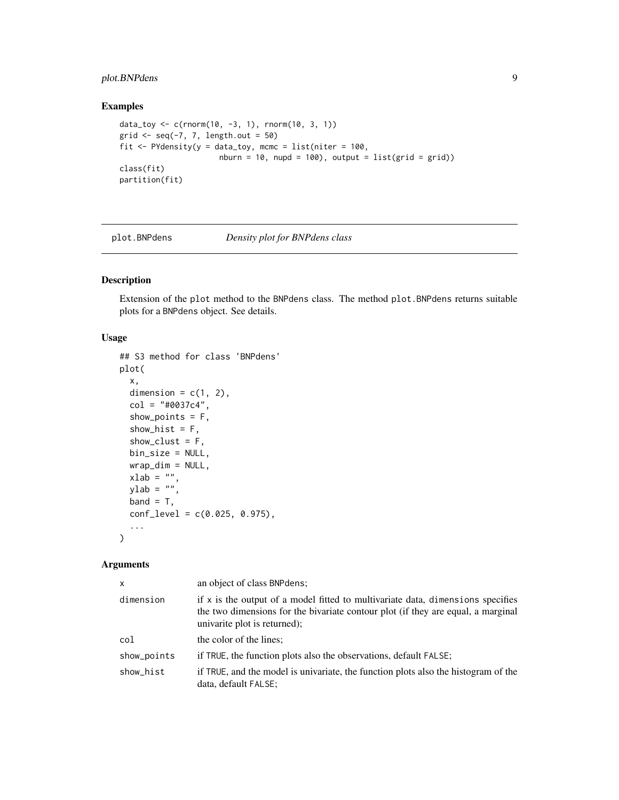#### <span id="page-8-0"></span>plot.BNPdens 9

#### Examples

```
data_toy <- c(rnorm(10, -3, 1), rnorm(10, 3, 1))
grid \leq seq(-7, 7, length.out = 50)fit \leq PYdensity(y = data_toy, mcmc = list(niter = 100,
                     nburn = 10, nupd = 100), output = list(grid = grid))class(fit)
partition(fit)
```
plot.BNPdens *Density plot for BNPdens class*

#### Description

Extension of the plot method to the BNPdens class. The method plot.BNPdens returns suitable plots for a BNPdens object. See details.

#### Usage

```
## S3 method for class 'BNPdens'
plot(
  x,
  dimension = c(1, 2),
  col = "#0037c4",
  show_points = F,
  show_hist = F,
  show\_clust = F,
  bin_size = NULL,
 wrap\_dim = NULL,xlab = "",
 ylab = "",
 band = T,
  conf\_level = c(0.025, 0.975),
  ...
)
```

| X           | an object of class BNP dens;                                                                                                                                                                          |  |
|-------------|-------------------------------------------------------------------------------------------------------------------------------------------------------------------------------------------------------|--|
| dimension   | if $x$ is the output of a model fitted to multivariate data, dimensions specifies<br>the two dimensions for the bivariate contour plot (if they are equal, a marginal<br>univarite plot is returned); |  |
| col         | the color of the lines;                                                                                                                                                                               |  |
| show_points | if TRUE, the function plots also the observations, default FALSE;                                                                                                                                     |  |
| show_hist   | if TRUE, and the model is univariate, the function plots also the histogram of the<br>data, default FALSE;                                                                                            |  |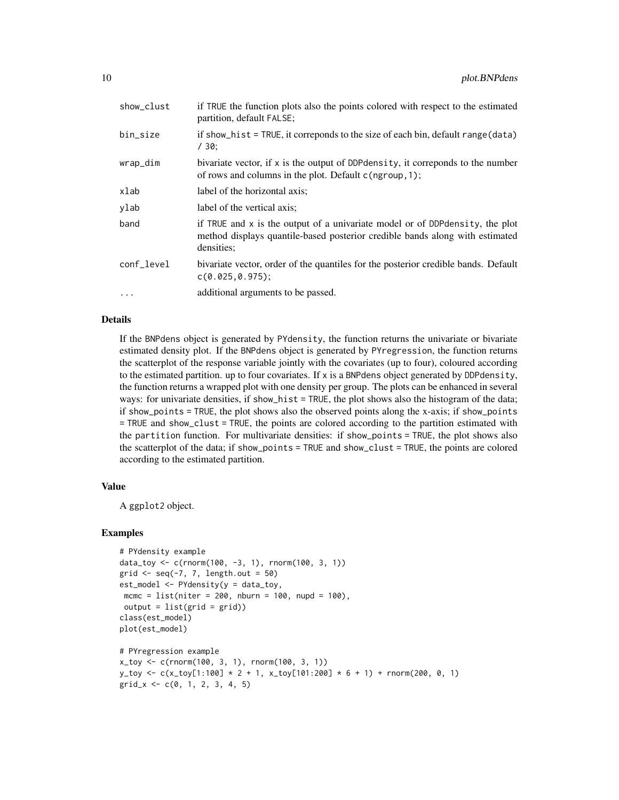| show_clust | if TRUE the function plots also the points colored with respect to the estimated<br>partition, default FALSE;                                                              |
|------------|----------------------------------------------------------------------------------------------------------------------------------------------------------------------------|
| bin_size   | if show_hist = TRUE, it corresponds to the size of each bin, default range (data)<br>/30:                                                                                  |
| wrap_dim   | bivariate vector, if $x$ is the output of DDP density, it corresponds to the number<br>of rows and columns in the plot. Default $c$ (ngroup, 1);                           |
| xlab       | label of the horizontal axis;                                                                                                                                              |
| ylab       | label of the vertical axis;                                                                                                                                                |
| band       | if TRUE and x is the output of a univariate model or of DDPdensity, the plot<br>method displays quantile-based posterior credible bands along with estimated<br>densities: |
| conf_level | bivariate vector, order of the quantiles for the posterior credible bands. Default<br>$C(0.025, 0.975)$ ;                                                                  |
| $\ddotsc$  | additional arguments to be passed.                                                                                                                                         |
|            |                                                                                                                                                                            |

#### Details

If the BNPdens object is generated by PYdensity, the function returns the univariate or bivariate estimated density plot. If the BNPdens object is generated by PYregression, the function returns the scatterplot of the response variable jointly with the covariates (up to four), coloured according to the estimated partition. up to four covariates. If  $x$  is a BNPdens object generated by DDPdensity, the function returns a wrapped plot with one density per group. The plots can be enhanced in several ways: for univariate densities, if show\_hist = TRUE, the plot shows also the histogram of the data; if show\_points = TRUE, the plot shows also the observed points along the x-axis; if show\_points = TRUE and show\_clust = TRUE, the points are colored according to the partition estimated with the partition function. For multivariate densities: if show\_points = TRUE, the plot shows also the scatterplot of the data; if show\_points = TRUE and show\_clust = TRUE, the points are colored according to the estimated partition.

#### Value

A ggplot2 object.

```
# PYdensity example
data_toy <- c(rnorm(100, -3, 1), rnorm(100, 3, 1))
grid \leq seq(-7, 7, length.out = 50)est_model <- PYdensity(y = data_toy,
mcmc = list(niter = 200, \text{nburn} = 100, \text{nupd} = 100),output = list(grid = grid)class(est_model)
plot(est_model)
# PYregression example
x_toy <- c(rnorm(100, 3, 1), rnorm(100, 3, 1))
y_ttoy <- c(x_toy[1:100] * 2 + 1, x_toy[101:200] * 6 + 1) + rnorm(200, 0, 1)
grid_x \leftarrow c(0, 1, 2, 3, 4, 5)
```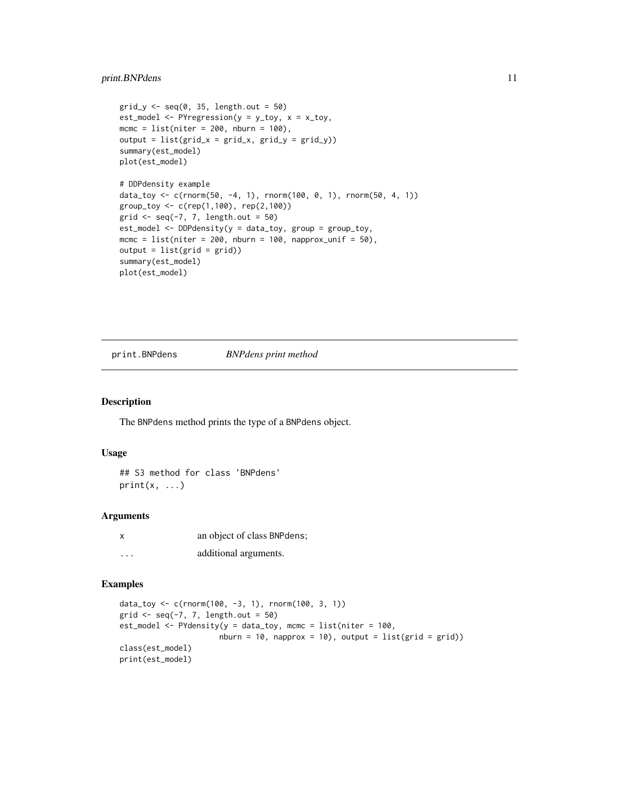#### <span id="page-10-0"></span>print.BNPdens 11

```
grid_y \leftarrow seq(0, 35, length.out = 50)est_model <- PYregression(y = y_toy, x = x_toy,
mcmc = list(niter = 200, \text{nburn} = 100),output = list(grid_x = grid_x, grid_y = grid_y)summary(est_model)
plot(est_model)
# DDPdensity example
data_toy <- c(rnorm(50, -4, 1), rnorm(100, 0, 1), rnorm(50, 4, 1))
group_toy <- c(rep(1,100), rep(2,100))
grid \leftarrow seq(-7, 7, length.out = 50)est_model <- DDPdensity(y = data_toy, group = group_toy,
mcmc = list(niter = 200, \text{nburn} = 100, \text{napprox\_unit} = 50),output = list(grid = grid)summary(est_model)
plot(est_model)
```
print.BNPdens *BNPdens print method*

#### Description

The BNPdens method prints the type of a BNPdens object.

#### Usage

```
## S3 method for class 'BNPdens'
print(x, \ldots)
```
#### Arguments

| x       | an object of class BNPdens; |
|---------|-----------------------------|
| $\cdot$ | additional arguments.       |

```
data_toy <- c(rnorm(100, -3, 1), rnorm(100, 3, 1))
grid \leq seq(-7, 7, length.out = 50)est_model <- PYdensity(y = data_toy, mcmc = list(niter = 100,
                     nburn = 10, napprox = 10), output = list(grid = grid))class(est_model)
print(est_model)
```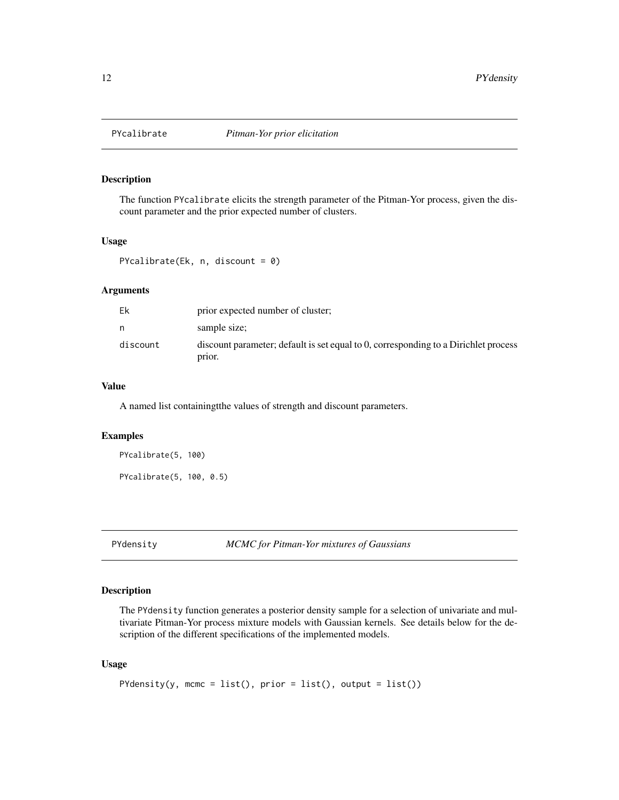<span id="page-11-0"></span>

#### Description

The function PYcalibrate elicits the strength parameter of the Pitman-Yor process, given the discount parameter and the prior expected number of clusters.

#### Usage

```
PYcalibrate(Ek, n, discount = 0)
```
#### Arguments

| Ek       | prior expected number of cluster;                                                             |
|----------|-----------------------------------------------------------------------------------------------|
| n        | sample size;                                                                                  |
| discount | discount parameter; default is set equal to 0, corresponding to a Dirichlet process<br>prior. |

#### Value

A named list containingtthe values of strength and discount parameters.

#### Examples

```
PYcalibrate(5, 100)
```

```
PYcalibrate(5, 100, 0.5)
```
PYdensity *MCMC for Pitman-Yor mixtures of Gaussians*

#### Description

The PYdensity function generates a posterior density sample for a selection of univariate and multivariate Pitman-Yor process mixture models with Gaussian kernels. See details below for the description of the different specifications of the implemented models.

#### Usage

```
PYdensity(y, mcmc = list(), prior = list(), output = list())
```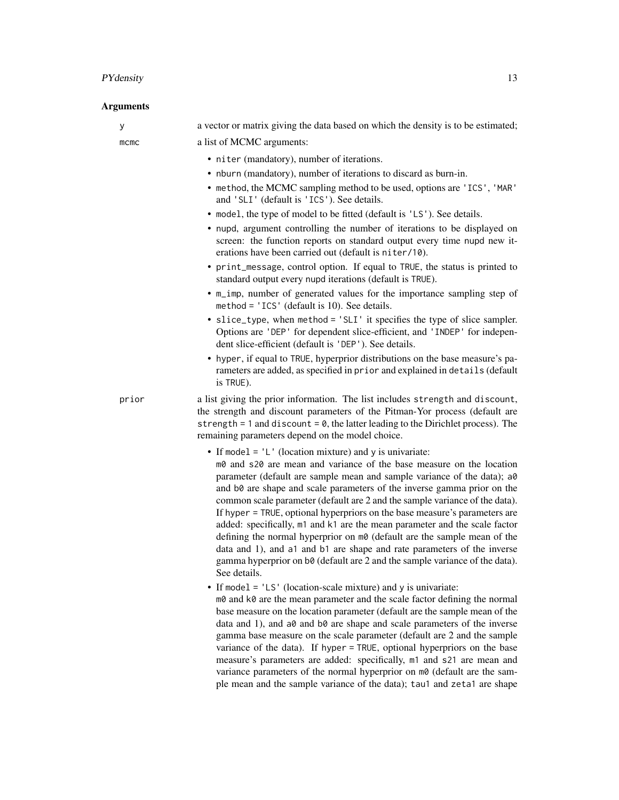### PYdensity 13

|  | у     | a vector or matrix giving the data based on which the density is to be estimated;                                                                                                                                                                                                                                                                                                                                                                                                                                                                                                                                                                                                                                                                                                                                                                              |
|--|-------|----------------------------------------------------------------------------------------------------------------------------------------------------------------------------------------------------------------------------------------------------------------------------------------------------------------------------------------------------------------------------------------------------------------------------------------------------------------------------------------------------------------------------------------------------------------------------------------------------------------------------------------------------------------------------------------------------------------------------------------------------------------------------------------------------------------------------------------------------------------|
|  | mcmc  | a list of MCMC arguments:                                                                                                                                                                                                                                                                                                                                                                                                                                                                                                                                                                                                                                                                                                                                                                                                                                      |
|  |       | • niter (mandatory), number of iterations.                                                                                                                                                                                                                                                                                                                                                                                                                                                                                                                                                                                                                                                                                                                                                                                                                     |
|  |       | • nburn (mandatory), number of iterations to discard as burn-in.                                                                                                                                                                                                                                                                                                                                                                                                                                                                                                                                                                                                                                                                                                                                                                                               |
|  |       | • method, the MCMC sampling method to be used, options are 'ICS', 'MAR'<br>and 'SLI' (default is 'ICS'). See details.                                                                                                                                                                                                                                                                                                                                                                                                                                                                                                                                                                                                                                                                                                                                          |
|  |       | • model, the type of model to be fitted (default is 'LS'). See details.                                                                                                                                                                                                                                                                                                                                                                                                                                                                                                                                                                                                                                                                                                                                                                                        |
|  |       | • nupd, argument controlling the number of iterations to be displayed on<br>screen: the function reports on standard output every time nupd new it-<br>erations have been carried out (default is niter/10).                                                                                                                                                                                                                                                                                                                                                                                                                                                                                                                                                                                                                                                   |
|  |       | • print_message, control option. If equal to TRUE, the status is printed to<br>standard output every nupd iterations (default is TRUE).                                                                                                                                                                                                                                                                                                                                                                                                                                                                                                                                                                                                                                                                                                                        |
|  |       | • m_imp, number of generated values for the importance sampling step of<br>method = 'ICS' (default is 10). See details.                                                                                                                                                                                                                                                                                                                                                                                                                                                                                                                                                                                                                                                                                                                                        |
|  |       | • slice_type, when method = 'SLI' it specifies the type of slice sampler.<br>Options are 'DEP' for dependent slice-efficient, and 'INDEP' for indepen-<br>dent slice-efficient (default is 'DEP'). See details.                                                                                                                                                                                                                                                                                                                                                                                                                                                                                                                                                                                                                                                |
|  |       | • hyper, if equal to TRUE, hyperprior distributions on the base measure's pa-<br>rameters are added, as specified in prior and explained in details (default<br>is TRUE).                                                                                                                                                                                                                                                                                                                                                                                                                                                                                                                                                                                                                                                                                      |
|  | prior | a list giving the prior information. The list includes strength and discount,<br>the strength and discount parameters of the Pitman-Yor process (default are<br>strength = $1$ and discount = $0$ , the latter leading to the Dirichlet process). The<br>remaining parameters depend on the model choice.                                                                                                                                                                                                                                                                                                                                                                                                                                                                                                                                                      |
|  |       | • If model = $'L'$ (location mixture) and y is univariate:<br>m0 and s20 are mean and variance of the base measure on the location<br>parameter (default are sample mean and sample variance of the data); a0<br>and b0 are shape and scale parameters of the inverse gamma prior on the<br>common scale parameter (default are 2 and the sample variance of the data).<br>If hyper = TRUE, optional hyperpriors on the base measure's parameters are<br>added: specifically, m1 and k1 are the mean parameter and the scale factor<br>defining the normal hyperprior on m0 (default are the sample mean of the<br>data and 1), and a1 and b1 are shape and rate parameters of the inverse<br>gamma hyperprior on b0 (default are 2 and the sample variance of the data).<br>See details.<br>• If model = $'LS'$ (location-scale mixture) and y is univariate: |
|  |       | m0 and k0 are the mean parameter and the scale factor defining the normal<br>base measure on the location parameter (default are the sample mean of the<br>data and 1), and a0 and b0 are shape and scale parameters of the inverse<br>gamma base measure on the scale parameter (default are 2 and the sample<br>variance of the data). If hyper = TRUE, optional hyperpriors on the base<br>measure's parameters are added: specifically, m1 and s21 are mean and<br>variance parameters of the normal hyperprior on m0 (default are the sam-<br>ple mean and the sample variance of the data); tau1 and zeta1 are shape                                                                                                                                                                                                                                     |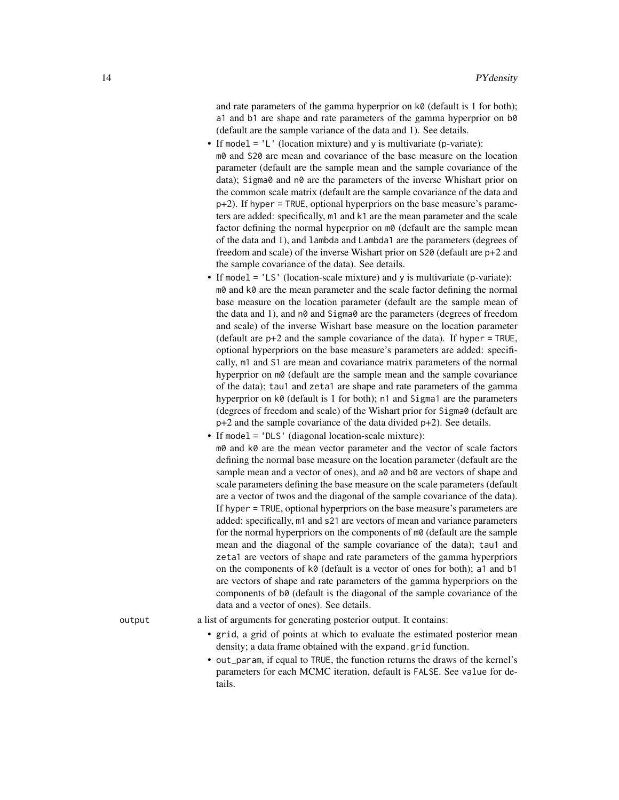and rate parameters of the gamma hyperprior on  $k\theta$  (default is 1 for both); a1 and b1 are shape and rate parameters of the gamma hyperprior on b0 (default are the sample variance of the data and 1). See details.

- If model =  $'L'$  (location mixture) and y is multivariate (p-variate): m0 and S20 are mean and covariance of the base measure on the location parameter (default are the sample mean and the sample covariance of the data); Sigma0 and n0 are the parameters of the inverse Whishart prior on the common scale matrix (default are the sample covariance of the data and p+2). If hyper = TRUE, optional hyperpriors on the base measure's parameters are added: specifically, m1 and k1 are the mean parameter and the scale factor defining the normal hyperprior on  $m\theta$  (default are the sample mean of the data and 1), and lambda and Lambda1 are the parameters (degrees of freedom and scale) of the inverse Wishart prior on S20 (default are p+2 and the sample covariance of the data). See details.
- If model = 'LS' (location-scale mixture) and y is multivariate (p-variate):  $m\theta$  and k $\theta$  are the mean parameter and the scale factor defining the normal base measure on the location parameter (default are the sample mean of the data and 1), and  $\theta$  and Sigma0 are the parameters (degrees of freedom and scale) of the inverse Wishart base measure on the location parameter (default are  $p+2$  and the sample covariance of the data). If hyper = TRUE, optional hyperpriors on the base measure's parameters are added: specifically, m1 and S1 are mean and covariance matrix parameters of the normal hyperprior on  $m\theta$  (default are the sample mean and the sample covariance of the data); tau1 and zeta1 are shape and rate parameters of the gamma hyperprior on k0 (default is 1 for both); n1 and Sigma1 are the parameters (degrees of freedom and scale) of the Wishart prior for Sigma0 (default are p+2 and the sample covariance of the data divided p+2). See details.
- If model = 'DLS' (diagonal location-scale mixture): m0 and k0 are the mean vector parameter and the vector of scale factors defining the normal base measure on the location parameter (default are the sample mean and a vector of ones), and a0 and b0 are vectors of shape and scale parameters defining the base measure on the scale parameters (default are a vector of twos and the diagonal of the sample covariance of the data). If hyper = TRUE, optional hyperpriors on the base measure's parameters are added: specifically, m1 and s21 are vectors of mean and variance parameters for the normal hyperpriors on the components of m0 (default are the sample mean and the diagonal of the sample covariance of the data); tau1 and zeta1 are vectors of shape and rate parameters of the gamma hyperpriors on the components of k0 (default is a vector of ones for both); a1 and b1 are vectors of shape and rate parameters of the gamma hyperpriors on the components of b0 (default is the diagonal of the sample covariance of the data and a vector of ones). See details.
- output a list of arguments for generating posterior output. It contains:
	- grid, a grid of points at which to evaluate the estimated posterior mean density; a data frame obtained with the expand.grid function.
	- out\_param, if equal to TRUE, the function returns the draws of the kernel's parameters for each MCMC iteration, default is FALSE. See value for details.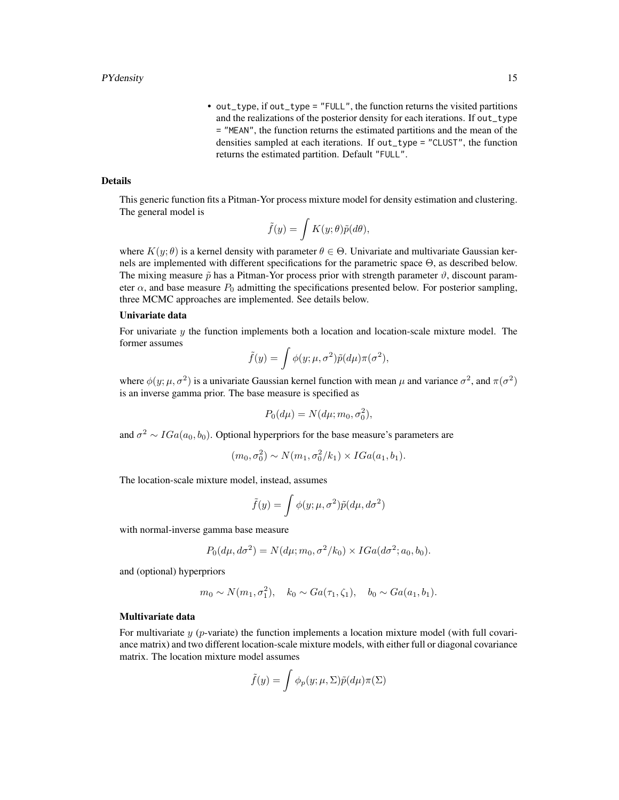• out\_type, if out\_type = "FULL", the function returns the visited partitions and the realizations of the posterior density for each iterations. If out\_type = "MEAN", the function returns the estimated partitions and the mean of the densities sampled at each iterations. If out\_type = "CLUST", the function returns the estimated partition. Default "FULL".

#### Details

This generic function fits a Pitman-Yor process mixture model for density estimation and clustering. The general model is

$$
\tilde{f}(y)=\int K(y;\theta)\tilde{p}(d\theta),
$$

where  $K(y; \theta)$  is a kernel density with parameter  $\theta \in \Theta$ . Univariate and multivariate Gaussian kernels are implemented with different specifications for the parametric space Θ, as described below. The mixing measure  $\tilde{p}$  has a Pitman-Yor process prior with strength parameter  $\vartheta$ , discount parameter  $\alpha$ , and base measure  $P_0$  admitting the specifications presented below. For posterior sampling, three MCMC approaches are implemented. See details below.

#### Univariate data

For univariate  $y$  the function implements both a location and location-scale mixture model. The former assumes

$$
\tilde{f}(y) = \int \phi(y; \mu, \sigma^2) \tilde{p}(d\mu) \pi(\sigma^2),
$$

where  $\phi(y;\mu,\sigma^2)$  is a univariate Gaussian kernel function with mean  $\mu$  and variance  $\sigma^2$ , and  $\pi(\sigma^2)$ is an inverse gamma prior. The base measure is specified as

$$
P_0(d\mu) = N(d\mu; m_0, \sigma_0^2),
$$

and  $\sigma^2 \sim IGa(a_0, b_0)$ . Optional hyperpriors for the base measure's parameters are

$$
(m_0, \sigma_0^2) \sim N(m_1, \sigma_0^2/k_1) \times IGa(a_1, b_1).
$$

The location-scale mixture model, instead, assumes

$$
\tilde{f}(y) = \int \phi(y; \mu, \sigma^2) \tilde{p}(d\mu, d\sigma^2)
$$

with normal-inverse gamma base measure

$$
P_0(d\mu, d\sigma^2) = N(d\mu; m_0, \sigma^2/k_0) \times IGa(d\sigma^2; a_0, b_0).
$$

and (optional) hyperpriors

$$
m_0 \sim N(m_1, \sigma_1^2)
$$
,  $k_0 \sim Ga(\tau_1, \zeta_1)$ ,  $b_0 \sim Ga(a_1, b_1)$ .

#### Multivariate data

For multivariate  $y$  (p-variate) the function implements a location mixture model (with full covariance matrix) and two different location-scale mixture models, with either full or diagonal covariance matrix. The location mixture model assumes

$$
\tilde{f}(y) = \int \phi_p(y; \mu, \Sigma) \tilde{p}(d\mu) \pi(\Sigma)
$$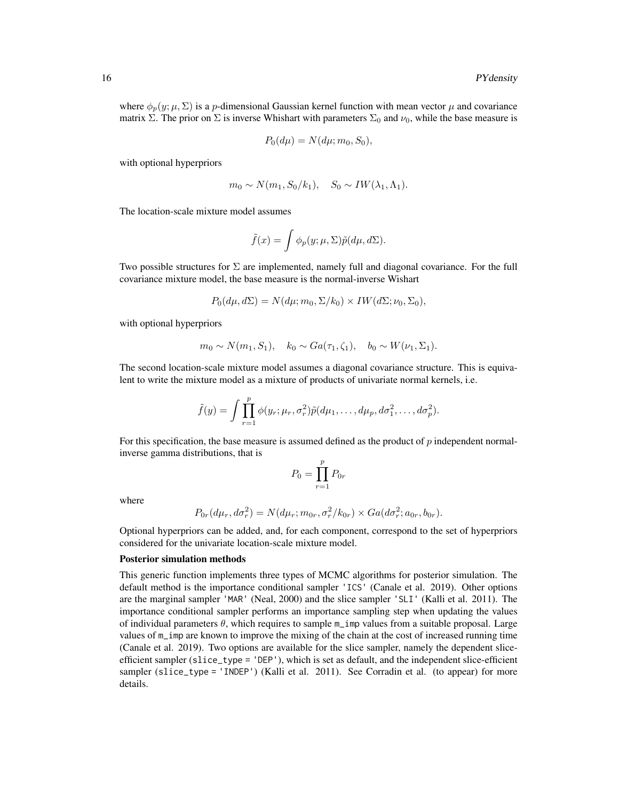where  $\phi_p(y; \mu, \Sigma)$  is a p-dimensional Gaussian kernel function with mean vector  $\mu$  and covariance matrix  $\Sigma$ . The prior on  $\Sigma$  is inverse Whishart with parameters  $\Sigma_0$  and  $\nu_0$ , while the base measure is

$$
P_0(d\mu) = N(d\mu; m_0, S_0),
$$

with optional hyperpriors

$$
m_0 \sim N(m_1, S_0/k_1), \quad S_0 \sim IW(\lambda_1, \Lambda_1).
$$

The location-scale mixture model assumes

$$
\tilde{f}(x) = \int \phi_p(y; \mu, \Sigma) \tilde{p}(d\mu, d\Sigma).
$$

Two possible structures for  $\Sigma$  are implemented, namely full and diagonal covariance. For the full covariance mixture model, the base measure is the normal-inverse Wishart

$$
P_0(d\mu, d\Sigma) = N(d\mu; m_0, \Sigma/k_0) \times IW(d\Sigma; \nu_0, \Sigma_0),
$$

with optional hyperpriors

$$
m_0 \sim N(m_1, S_1), \quad k_0 \sim Ga(\tau_1, \zeta_1), \quad b_0 \sim W(\nu_1, \Sigma_1).
$$

The second location-scale mixture model assumes a diagonal covariance structure. This is equivalent to write the mixture model as a mixture of products of univariate normal kernels, i.e.

$$
\tilde{f}(y) = \int \prod_{r=1}^p \phi(y_r; \mu_r, \sigma_r^2) \tilde{p}(d\mu_1, \dots, d\mu_p, d\sigma_1^2, \dots, d\sigma_p^2).
$$

For this specification, the base measure is assumed defined as the product of  $p$  independent normalinverse gamma distributions, that is

$$
P_0 = \prod_{r=1}^p P_{0r}
$$

where

$$
P_{0r}(d\mu_r, d\sigma_r^2) = N(d\mu_r; m_{0r}, \sigma_r^2 / k_{0r}) \times Ga(d\sigma_r^2; a_{0r}, b_{0r}).
$$

Optional hyperpriors can be added, and, for each component, correspond to the set of hyperpriors considered for the univariate location-scale mixture model.

#### Posterior simulation methods

This generic function implements three types of MCMC algorithms for posterior simulation. The default method is the importance conditional sampler 'ICS' (Canale et al. 2019). Other options are the marginal sampler 'MAR' (Neal, 2000) and the slice sampler 'SLI' (Kalli et al. 2011). The importance conditional sampler performs an importance sampling step when updating the values of individual parameters  $\theta$ , which requires to sample  $m$  imp values from a suitable proposal. Large values of m\_imp are known to improve the mixing of the chain at the cost of increased running time (Canale et al. 2019). Two options are available for the slice sampler, namely the dependent sliceefficient sampler (slice\_type = 'DEP'), which is set as default, and the independent slice-efficient sampler (slice\_type = 'INDEP') (Kalli et al. 2011). See Corradin et al. (to appear) for more details.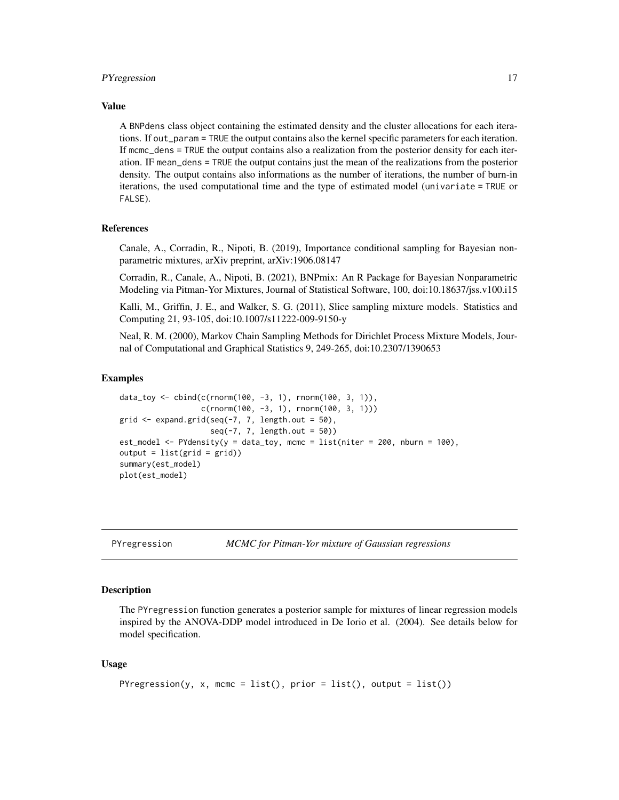#### <span id="page-16-0"></span>PYregression 17

#### Value

A BNPdens class object containing the estimated density and the cluster allocations for each iterations. If out\_param = TRUE the output contains also the kernel specific parameters for each iteration. If mcmc\_dens = TRUE the output contains also a realization from the posterior density for each iteration. IF mean\_dens = TRUE the output contains just the mean of the realizations from the posterior density. The output contains also informations as the number of iterations, the number of burn-in iterations, the used computational time and the type of estimated model (univariate = TRUE or FALSE).

#### References

Canale, A., Corradin, R., Nipoti, B. (2019), Importance conditional sampling for Bayesian nonparametric mixtures, arXiv preprint, arXiv:1906.08147

Corradin, R., Canale, A., Nipoti, B. (2021), BNPmix: An R Package for Bayesian Nonparametric Modeling via Pitman-Yor Mixtures, Journal of Statistical Software, 100, doi:10.18637/jss.v100.i15

Kalli, M., Griffin, J. E., and Walker, S. G. (2011), Slice sampling mixture models. Statistics and Computing 21, 93-105, doi:10.1007/s11222-009-9150-y

Neal, R. M. (2000), Markov Chain Sampling Methods for Dirichlet Process Mixture Models, Journal of Computational and Graphical Statistics 9, 249-265, doi:10.2307/1390653

#### Examples

```
data_toy <- cbind(c(rnorm(100, -3, 1), rnorm(100, 3, 1)),
                  c(rnorm(100, -3, 1), rnorm(100, 3, 1)))
grid \leftarrow expand.grid(seq(-7, 7, length.out = 50),seq(-7, 7, length.out = 50))
est_model <- PYdensity(y = data_toy, mcmc = list(niter = 200, nburn = 100),
output = list(grid = grid)summary(est_model)
plot(est_model)
```
PYregression *MCMC for Pitman-Yor mixture of Gaussian regressions*

#### **Description**

The PYregression function generates a posterior sample for mixtures of linear regression models inspired by the ANOVA-DDP model introduced in De Iorio et al. (2004). See details below for model specification.

#### Usage

```
PYregression(y, x, mcmc = list(), prior = list(), output = list())
```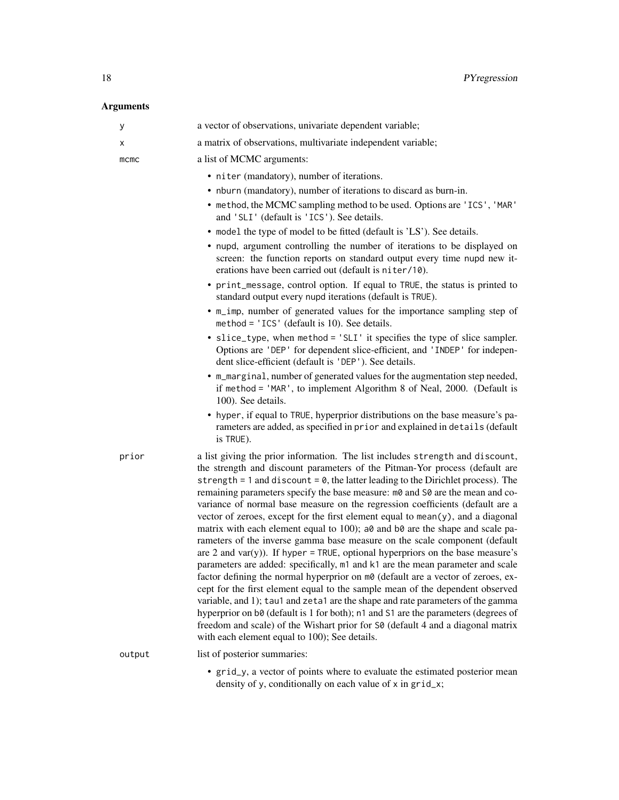| у      | a vector of observations, univariate dependent variable;                                                                                                                                                                                                                                                                                                                                                                                                                                                                                                                                                                                                                                                                                                                                                                                                                                                                                                                                                                                                                                                                                                                                                                                                                                                                           |  |
|--------|------------------------------------------------------------------------------------------------------------------------------------------------------------------------------------------------------------------------------------------------------------------------------------------------------------------------------------------------------------------------------------------------------------------------------------------------------------------------------------------------------------------------------------------------------------------------------------------------------------------------------------------------------------------------------------------------------------------------------------------------------------------------------------------------------------------------------------------------------------------------------------------------------------------------------------------------------------------------------------------------------------------------------------------------------------------------------------------------------------------------------------------------------------------------------------------------------------------------------------------------------------------------------------------------------------------------------------|--|
| х      | a matrix of observations, multivariate independent variable;                                                                                                                                                                                                                                                                                                                                                                                                                                                                                                                                                                                                                                                                                                                                                                                                                                                                                                                                                                                                                                                                                                                                                                                                                                                                       |  |
| mcmc   | a list of MCMC arguments:                                                                                                                                                                                                                                                                                                                                                                                                                                                                                                                                                                                                                                                                                                                                                                                                                                                                                                                                                                                                                                                                                                                                                                                                                                                                                                          |  |
|        | • niter (mandatory), number of iterations.                                                                                                                                                                                                                                                                                                                                                                                                                                                                                                                                                                                                                                                                                                                                                                                                                                                                                                                                                                                                                                                                                                                                                                                                                                                                                         |  |
|        | • nburn (mandatory), number of iterations to discard as burn-in.                                                                                                                                                                                                                                                                                                                                                                                                                                                                                                                                                                                                                                                                                                                                                                                                                                                                                                                                                                                                                                                                                                                                                                                                                                                                   |  |
|        | • method, the MCMC sampling method to be used. Options are 'ICS', 'MAR'<br>and 'SLI' (default is 'ICS'). See details.                                                                                                                                                                                                                                                                                                                                                                                                                                                                                                                                                                                                                                                                                                                                                                                                                                                                                                                                                                                                                                                                                                                                                                                                              |  |
|        | • model the type of model to be fitted (default is 'LS'). See details.                                                                                                                                                                                                                                                                                                                                                                                                                                                                                                                                                                                                                                                                                                                                                                                                                                                                                                                                                                                                                                                                                                                                                                                                                                                             |  |
|        | • nupd, argument controlling the number of iterations to be displayed on<br>screen: the function reports on standard output every time nupd new it-<br>erations have been carried out (default is niter/10).                                                                                                                                                                                                                                                                                                                                                                                                                                                                                                                                                                                                                                                                                                                                                                                                                                                                                                                                                                                                                                                                                                                       |  |
|        | • print_message, control option. If equal to TRUE, the status is printed to<br>standard output every nupd iterations (default is TRUE).                                                                                                                                                                                                                                                                                                                                                                                                                                                                                                                                                                                                                                                                                                                                                                                                                                                                                                                                                                                                                                                                                                                                                                                            |  |
|        | • m_imp, number of generated values for the importance sampling step of<br>method = 'ICS' (default is 10). See details.                                                                                                                                                                                                                                                                                                                                                                                                                                                                                                                                                                                                                                                                                                                                                                                                                                                                                                                                                                                                                                                                                                                                                                                                            |  |
|        | • slice_type, when method = 'SLI' it specifies the type of slice sampler.<br>Options are 'DEP' for dependent slice-efficient, and 'INDEP' for indepen-<br>dent slice-efficient (default is 'DEP'). See details.                                                                                                                                                                                                                                                                                                                                                                                                                                                                                                                                                                                                                                                                                                                                                                                                                                                                                                                                                                                                                                                                                                                    |  |
|        | • m_marginal, number of generated values for the augmentation step needed,<br>if method = 'MAR', to implement Algorithm 8 of Neal, 2000. (Default is<br>100). See details.                                                                                                                                                                                                                                                                                                                                                                                                                                                                                                                                                                                                                                                                                                                                                                                                                                                                                                                                                                                                                                                                                                                                                         |  |
|        | • hyper, if equal to TRUE, hyperprior distributions on the base measure's pa-<br>rameters are added, as specified in prior and explained in details (default<br>is TRUE).                                                                                                                                                                                                                                                                                                                                                                                                                                                                                                                                                                                                                                                                                                                                                                                                                                                                                                                                                                                                                                                                                                                                                          |  |
| prior  | a list giving the prior information. The list includes strength and discount,<br>the strength and discount parameters of the Pitman-Yor process (default are<br>strength = 1 and discount = $\theta$ , the latter leading to the Dirichlet process). The<br>remaining parameters specify the base measure: m0 and S0 are the mean and co-<br>variance of normal base measure on the regression coefficients (default are a<br>vector of zeroes, except for the first element equal to mean(y), and a diagonal<br>matrix with each element equal to 100); a0 and b0 are the shape and scale pa-<br>rameters of the inverse gamma base measure on the scale component (default<br>are 2 and var(y)). If hyper = TRUE, optional hyperpriors on the base measure's<br>parameters are added: specifically, m1 and k1 are the mean parameter and scale<br>factor defining the normal hyperprior on m0 (default are a vector of zeroes, ex-<br>cept for the first element equal to the sample mean of the dependent observed<br>variable, and 1); tau1 and zeta1 are the shape and rate parameters of the gamma<br>hyperprior on b0 (default is 1 for both); n1 and S1 are the parameters (degrees of<br>freedom and scale) of the Wishart prior for S0 (default 4 and a diagonal matrix<br>with each element equal to 100); See details. |  |
| output | list of posterior summaries:                                                                                                                                                                                                                                                                                                                                                                                                                                                                                                                                                                                                                                                                                                                                                                                                                                                                                                                                                                                                                                                                                                                                                                                                                                                                                                       |  |
|        | • grid_y, a vector of points where to evaluate the estimated posterior mean<br>density of y, conditionally on each value of x in grid_x;                                                                                                                                                                                                                                                                                                                                                                                                                                                                                                                                                                                                                                                                                                                                                                                                                                                                                                                                                                                                                                                                                                                                                                                           |  |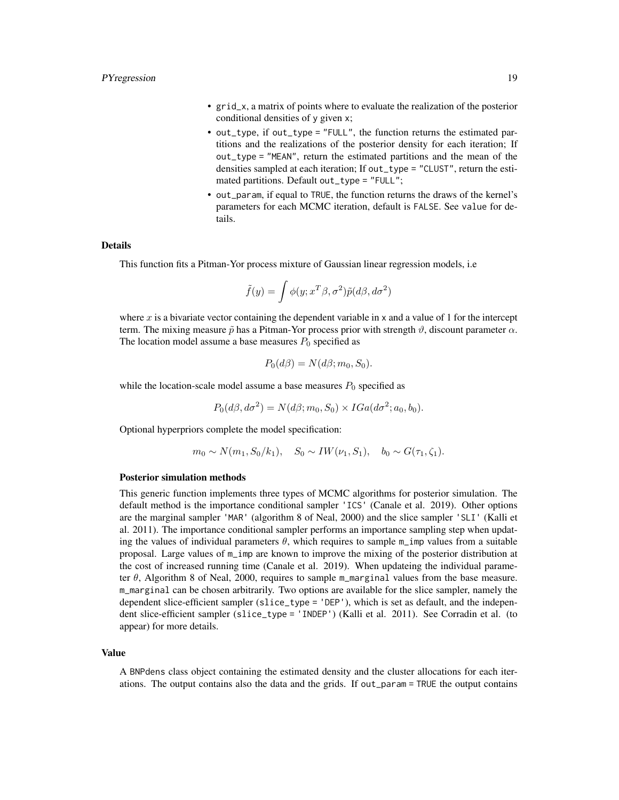- grid\_x, a matrix of points where to evaluate the realization of the posterior conditional densities of y given x;
- out\_type, if out\_type = "FULL", the function returns the estimated partitions and the realizations of the posterior density for each iteration; If out\_type = "MEAN", return the estimated partitions and the mean of the densities sampled at each iteration; If out\_type = "CLUST", return the estimated partitions. Default out\_type = "FULL";
- out\_param, if equal to TRUE, the function returns the draws of the kernel's parameters for each MCMC iteration, default is FALSE. See value for details.

#### Details

This function fits a Pitman-Yor process mixture of Gaussian linear regression models, i.e

$$
\tilde{f}(y) = \int \phi(y; x^T \beta, \sigma^2) \tilde{p}(d\beta, d\sigma^2)
$$

where  $x$  is a bivariate vector containing the dependent variable in  $x$  and a value of 1 for the intercept term. The mixing measure  $\tilde{p}$  has a Pitman-Yor process prior with strength  $\vartheta$ , discount parameter  $\alpha$ . The location model assume a base measures  $P_0$  specified as

$$
P_0(d\beta) = N(d\beta; m_0, S_0).
$$

while the location-scale model assume a base measures  $P_0$  specified as

$$
P_0(d\beta, d\sigma^2) = N(d\beta; m_0, S_0) \times IGa(d\sigma^2; a_0, b_0).
$$

Optional hyperpriors complete the model specification:

$$
m_0 \sim N(m_1, S_0/k_1), \quad S_0 \sim IW(\nu_1, S_1), \quad b_0 \sim G(\tau_1, \zeta_1).
$$

#### Posterior simulation methods

This generic function implements three types of MCMC algorithms for posterior simulation. The default method is the importance conditional sampler 'ICS' (Canale et al. 2019). Other options are the marginal sampler 'MAR' (algorithm 8 of Neal, 2000) and the slice sampler 'SLI' (Kalli et al. 2011). The importance conditional sampler performs an importance sampling step when updating the values of individual parameters  $\theta$ , which requires to sample m\_imp values from a suitable proposal. Large values of m\_imp are known to improve the mixing of the posterior distribution at the cost of increased running time (Canale et al. 2019). When updateing the individual parameter  $\theta$ , Algorithm 8 of Neal, 2000, requires to sample m\_marginal values from the base measure. m\_marginal can be chosen arbitrarily. Two options are available for the slice sampler, namely the dependent slice-efficient sampler (slice\_type = 'DEP'), which is set as default, and the independent slice-efficient sampler (slice\_type = 'INDEP') (Kalli et al. 2011). See Corradin et al. (to appear) for more details.

#### Value

A BNPdens class object containing the estimated density and the cluster allocations for each iterations. The output contains also the data and the grids. If out\_param = TRUE the output contains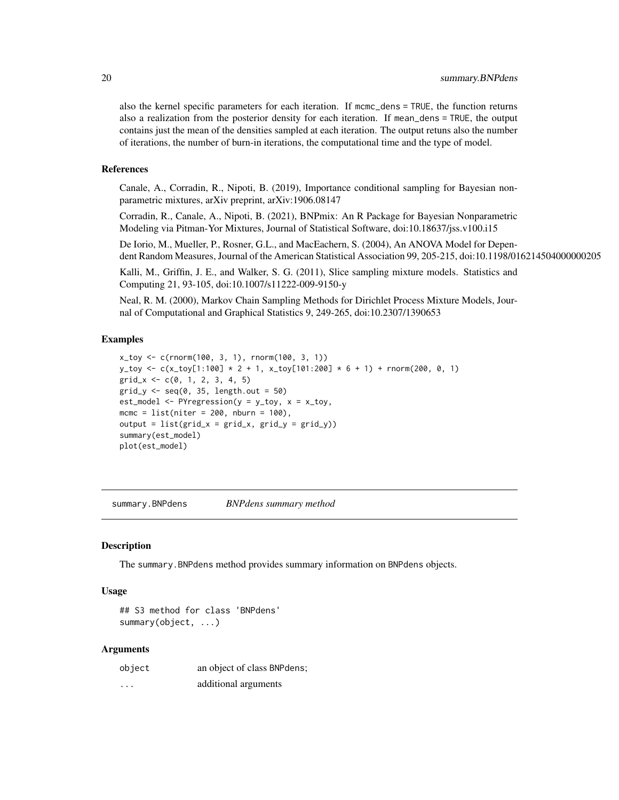<span id="page-19-0"></span>also the kernel specific parameters for each iteration. If mcmc\_dens = TRUE, the function returns also a realization from the posterior density for each iteration. If mean\_dens = TRUE, the output contains just the mean of the densities sampled at each iteration. The output retuns also the number of iterations, the number of burn-in iterations, the computational time and the type of model.

#### References

Canale, A., Corradin, R., Nipoti, B. (2019), Importance conditional sampling for Bayesian nonparametric mixtures, arXiv preprint, arXiv:1906.08147

Corradin, R., Canale, A., Nipoti, B. (2021), BNPmix: An R Package for Bayesian Nonparametric Modeling via Pitman-Yor Mixtures, Journal of Statistical Software, doi:10.18637/jss.v100.i15

De Iorio, M., Mueller, P., Rosner, G.L., and MacEachern, S. (2004), An ANOVA Model for Dependent Random Measures, Journal of the American Statistical Association 99, 205-215, doi:10.1198/016214504000000205

Kalli, M., Griffin, J. E., and Walker, S. G. (2011), Slice sampling mixture models. Statistics and Computing 21, 93-105, doi:10.1007/s11222-009-9150-y

Neal, R. M. (2000), Markov Chain Sampling Methods for Dirichlet Process Mixture Models, Journal of Computational and Graphical Statistics 9, 249-265, doi:10.2307/1390653

#### Examples

```
x_toy <- c(rnorm(100, 3, 1), rnorm(100, 3, 1))
y_ttoy <- c(x_toy[1:100] * 2 + 1, x_toy[101:200] * 6 + 1) + rnorm(200, 0, 1)
grid_x \leftarrow c(0, 1, 2, 3, 4, 5)grid_y \leftarrow seq(0, 35, length.out = 50)est_model <- PYregression(y = y_ttoy, x = x_ttoy,
mcmc = list(niter = 200, \text{nburn} = 100),
output = list(grid_x = grid_x, grid_y = grid_y)summary(est_model)
plot(est_model)
```
summary.BNPdens *BNPdens summary method*

#### **Description**

The summary.BNPdens method provides summary information on BNPdens objects.

#### Usage

## S3 method for class 'BNPdens' summary(object, ...)

| object | an object of class BNPdens; |
|--------|-----------------------------|
| .      | additional arguments        |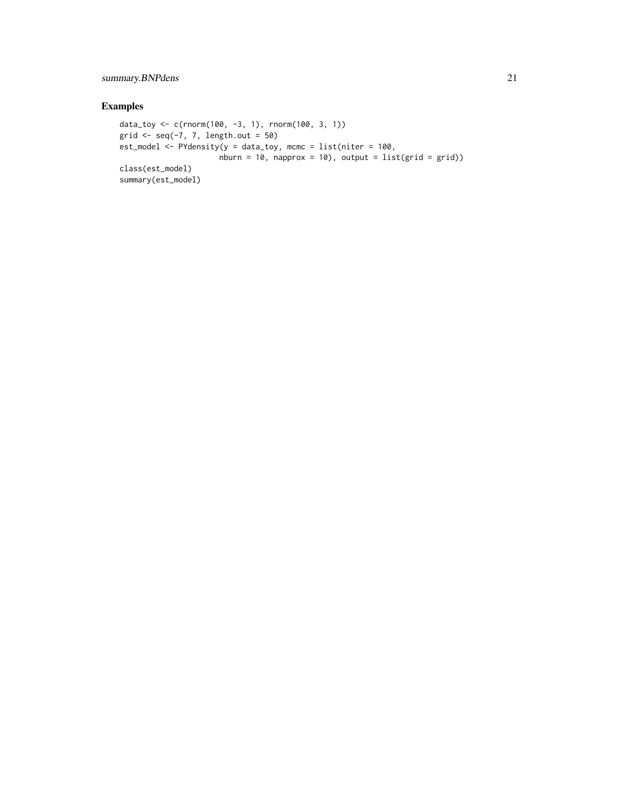#### summary.BNPdens 21

```
data_toy <- c(rnorm(100, -3, 1), rnorm(100, 3, 1))
grid \leq seq(-7, 7, length.out = 50)
est_model <- PYdensity(y = data_toy, mcmc = list(niter = 100,
                     nburn = 10, napprox = 10), output = list(grid = grid))class(est_model)
summary(est_model)
```